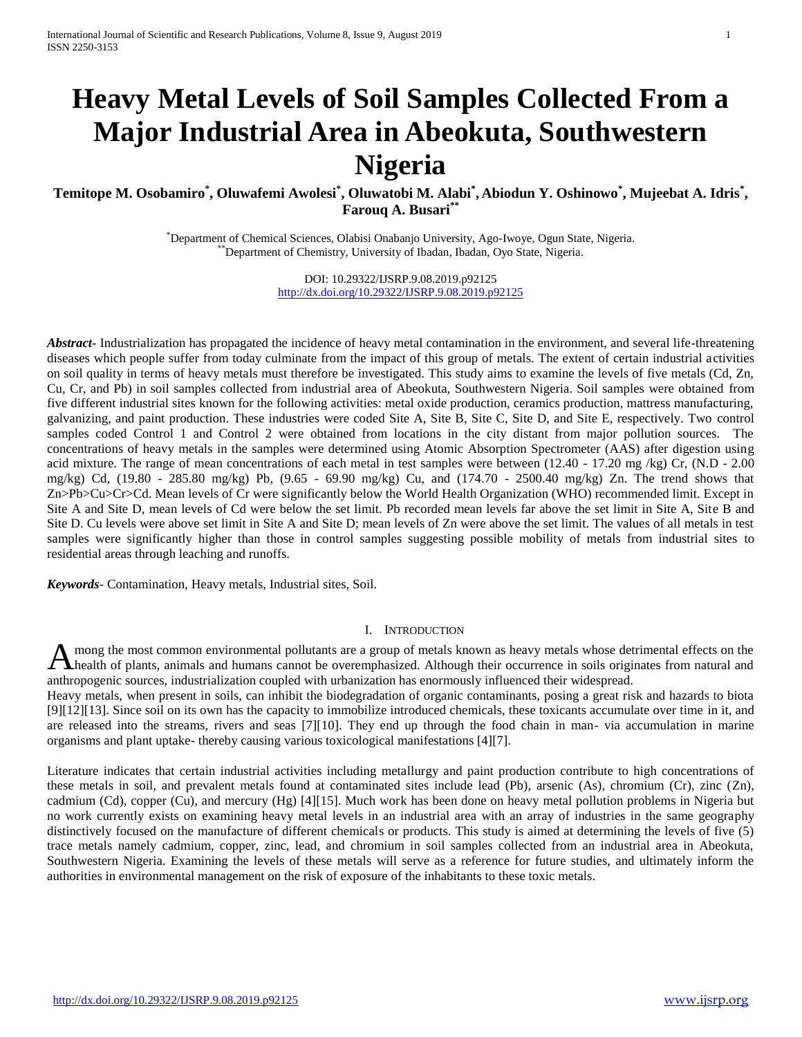# **Heavy Metal Levels of Soil Samples Collected From a Major Industrial Area in Abeokuta, Southwestern Nigeria**

**Temitope M. Osobamiro\* , Oluwafemi Awolesi\* , Oluwatobi M. Alabi\* , Abiodun Y. Oshinowo\* , Mujeebat A. Idris\* , Farouq A. Busari\*\***

> \*Department of Chemical Sciences, Olabisi Onabanjo University, Ago-Iwoye, Ogun State, Nigeria. \*\*Department of Chemistry, University of Ibadan, Ibadan, Oyo State, Nigeria.

> > DOI: 10.29322/IJSRP.9.08.2019.p92125 <http://dx.doi.org/10.29322/IJSRP.9.08.2019.p92125>

*Abstract***-** Industrialization has propagated the incidence of heavy metal contamination in the environment, and several life-threatening diseases which people suffer from today culminate from the impact of this group of metals. The extent of certain industrial activities on soil quality in terms of heavy metals must therefore be investigated. This study aims to examine the levels of five metals (Cd, Zn, Cu, Cr, and Pb) in soil samples collected from industrial area of Abeokuta, Southwestern Nigeria. Soil samples were obtained from five different industrial sites known for the following activities: metal oxide production, ceramics production, mattress manufacturing, galvanizing, and paint production. These industries were coded Site A, Site B, Site C, Site D, and Site E, respectively. Two control samples coded Control 1 and Control 2 were obtained from locations in the city distant from major pollution sources. The concentrations of heavy metals in the samples were determined using Atomic Absorption Spectrometer (AAS) after digestion using acid mixture. The range of mean concentrations of each metal in test samples were between (12.40 - 17.20 mg /kg) Cr, (N.D - 2.00 mg/kg) Cd, (19.80 - 285.80 mg/kg) Pb, (9.65 - 69.90 mg/kg) Cu, and (174.70 - 2500.40 mg/kg) Zn. The trend shows that Zn>Pb>Cu>Cr>Cd. Mean levels of Cr were significantly below the World Health Organization (WHO) recommended limit. Except in Site A and Site D, mean levels of Cd were below the set limit. Pb recorded mean levels far above the set limit in Site A, Site B and Site D. Cu levels were above set limit in Site A and Site D; mean levels of Zn were above the set limit. The values of all metals in test samples were significantly higher than those in control samples suggesting possible mobility of metals from industrial sites to residential areas through leaching and runoffs.

*Keywords*- Contamination, Heavy metals, Industrial sites, Soil.

#### I. INTRODUCTION

mong the most common environmental pollutants are a group of metals known as heavy metals whose detrimental effects on the A mong the most common environmental pollutants are a group of metals known as heavy metals whose detrimental effects on the health of plants, animals and humans cannot be overemphasized. Although their occurrence in soils anthropogenic sources, industrialization coupled with urbanization has enormously influenced their widespread.

Heavy metals, when present in soils, can inhibit the biodegradation of organic contaminants, posing a great risk and hazards to biota [9][12][13]. Since soil on its own has the capacity to immobilize introduced chemicals, these toxicants accumulate over time in it, and are released into the streams, rivers and seas [7][10]. They end up through the food chain in man- via accumulation in marine organisms and plant uptake- thereby causing various toxicological manifestations [4][7].

Literature indicates that certain industrial activities including metallurgy and paint production contribute to high concentrations of these metals in soil, and prevalent metals found at contaminated sites include lead (Pb), arsenic (As), chromium (Cr), zinc (Zn), cadmium (Cd), copper (Cu), and mercury (Hg) [4][15]. Much work has been done on heavy metal pollution problems in Nigeria but no work currently exists on examining heavy metal levels in an industrial area with an array of industries in the same geography distinctively focused on the manufacture of different chemicals or products. This study is aimed at determining the levels of five (5) trace metals namely cadmium, copper, zinc, lead, and chromium in soil samples collected from an industrial area in Abeokuta, Southwestern Nigeria. Examining the levels of these metals will serve as a reference for future studies, and ultimately inform the authorities in environmental management on the risk of exposure of the inhabitants to these toxic metals.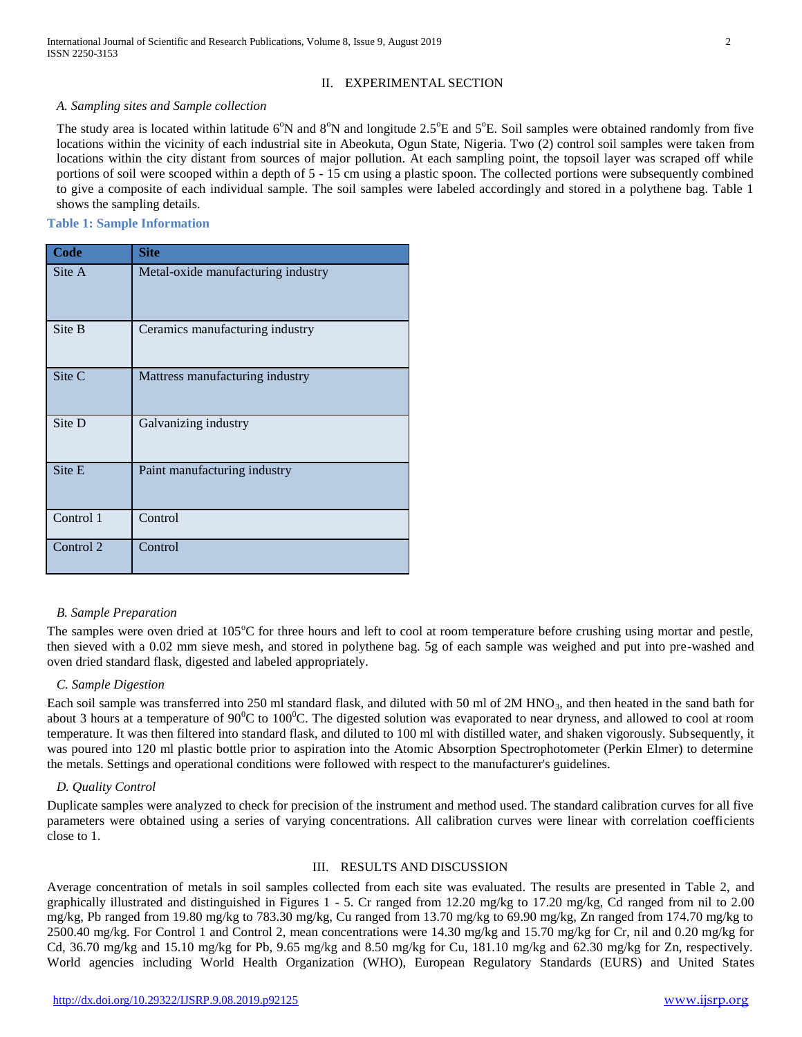# II. EXPERIMENTAL SECTION

#### *A. Sampling sites and Sample collection*

The study area is located within latitude  $6^\circ N$  and  $8^\circ N$  and longitude 2.5 $^\circ$ E and  $5^\circ$ E. Soil samples were obtained randomly from five locations within the vicinity of each industrial site in Abeokuta, Ogun State, Nigeria. Two (2) control soil samples were taken from locations within the city distant from sources of major pollution. At each sampling point, the topsoil layer was scraped off while portions of soil were scooped within a depth of 5 - 15 cm using a plastic spoon. The collected portions were subsequently combined to give a composite of each individual sample. The soil samples were labeled accordingly and stored in a polythene bag. Table 1 shows the sampling details.

## **Table 1: Sample Information**

| Code      | <b>Site</b>                        |
|-----------|------------------------------------|
| Site A    | Metal-oxide manufacturing industry |
| Site B    | Ceramics manufacturing industry    |
| Site C    | Mattress manufacturing industry    |
| Site D    | Galvanizing industry               |
| Site E    | Paint manufacturing industry       |
| Control 1 | Control                            |
| Control 2 | Control                            |

#### *B. Sample Preparation*

The samples were oven dried at  $105^{\circ}$ C for three hours and left to cool at room temperature before crushing using mortar and pestle, then sieved with a 0.02 mm sieve mesh, and stored in polythene bag. 5g of each sample was weighed and put into pre-washed and oven dried standard flask, digested and labeled appropriately.

#### *C. Sample Digestion*

Each soil sample was transferred into 250 ml standard flask, and diluted with 50 ml of 2M HNO<sub>3</sub>, and then heated in the sand bath for about 3 hours at a temperature of  $90^{\circ}$ C to  $100^{\circ}$ C. The digested solution was evaporated to near dryness, and allowed to cool at room temperature. It was then filtered into standard flask, and diluted to 100 ml with distilled water, and shaken vigorously. Subsequently, it was poured into 120 ml plastic bottle prior to aspiration into the Atomic Absorption Spectrophotometer (Perkin Elmer) to determine the metals. Settings and operational conditions were followed with respect to the manufacturer's guidelines.

#### *D. Quality Control*

Duplicate samples were analyzed to check for precision of the instrument and method used. The standard calibration curves for all five parameters were obtained using a series of varying concentrations. All calibration curves were linear with correlation coefficients close to 1.

# III. RESULTS AND DISCUSSION

Average concentration of metals in soil samples collected from each site was evaluated. The results are presented in Table 2, and graphically illustrated and distinguished in Figures 1 - 5. Cr ranged from 12.20 mg/kg to 17.20 mg/kg, Cd ranged from nil to 2.00 mg/kg, Pb ranged from 19.80 mg/kg to 783.30 mg/kg, Cu ranged from 13.70 mg/kg to 69.90 mg/kg, Zn ranged from 174.70 mg/kg to 2500.40 mg/kg. For Control 1 and Control 2, mean concentrations were 14.30 mg/kg and 15.70 mg/kg for Cr, nil and 0.20 mg/kg for Cd, 36.70 mg/kg and 15.10 mg/kg for Pb, 9.65 mg/kg and 8.50 mg/kg for Cu, 181.10 mg/kg and 62.30 mg/kg for Zn, respectively. World agencies including World Health Organization (WHO), European Regulatory Standards (EURS) and United States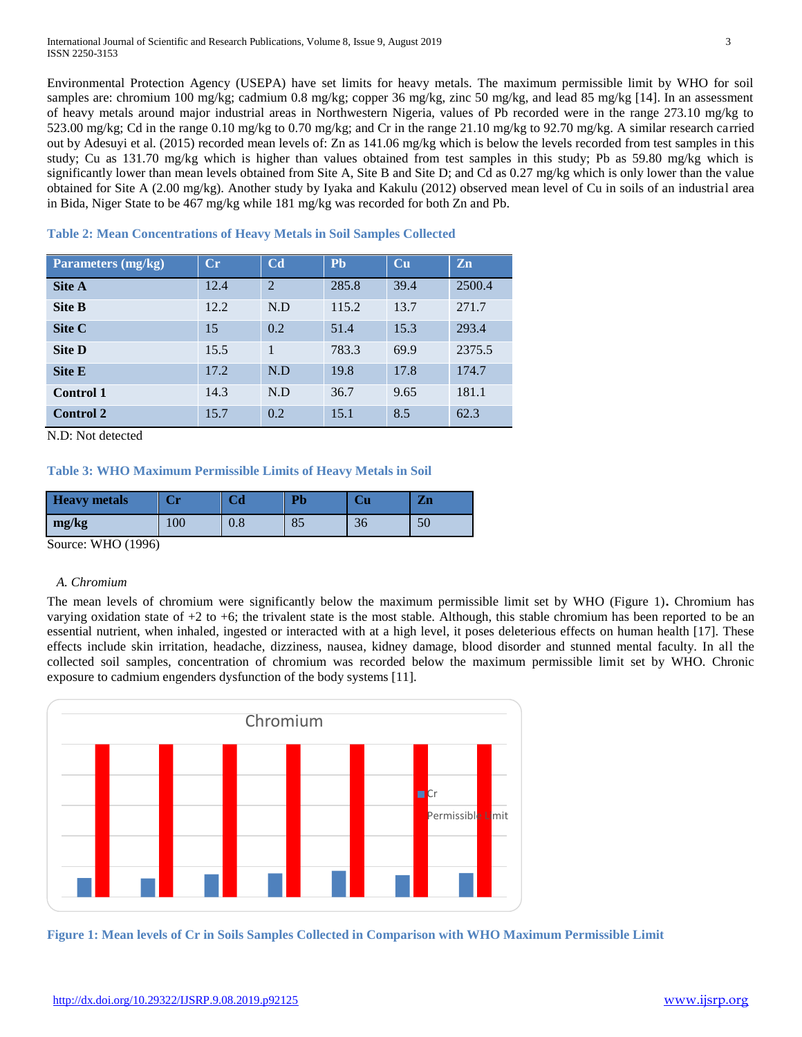**Table 2: Mean Concentrations of Heavy Metals in Soil Samples Collected**

Environmental Protection Agency (USEPA) have set limits for heavy metals. The maximum permissible limit by WHO for soil samples are: chromium 100 mg/kg; cadmium 0.8 mg/kg; copper 36 mg/kg, zinc 50 mg/kg, and lead 85 mg/kg [14]. In an assessment of heavy metals around major industrial areas in Northwestern Nigeria, values of Pb recorded were in the range 273.10 mg/kg to 523.00 mg/kg; Cd in the range 0.10 mg/kg to 0.70 mg/kg; and Cr in the range 21.10 mg/kg to 92.70 mg/kg. A similar research carried out by Adesuyi et al. (2015) recorded mean levels of: Zn as 141.06 mg/kg which is below the levels recorded from test samples in this study; Cu as 131.70 mg/kg which is higher than values obtained from test samples in this study; Pb as 59.80 mg/kg which is significantly lower than mean levels obtained from Site A, Site B and Site D; and Cd as 0.27 mg/kg which is only lower than the value obtained for Site A (2.00 mg/kg). Another study by Iyaka and Kakulu (2012) observed mean level of Cu in soils of an industrial area in Bida, Niger State to be 467 mg/kg while 181 mg/kg was recorded for both Zn and Pb.

| <b>Parameters (mg/kg)</b> | $C_{r}$ | C <sub>d</sub> | <b>Ph</b> | Cu   | Zn     |
|---------------------------|---------|----------------|-----------|------|--------|
| <b>Site A</b>             | 12.4    | $\overline{2}$ | 285.8     | 39.4 | 2500.4 |
| <b>Site B</b>             | 12.2    | N.D            | 115.2     | 13.7 | 271.7  |
| Site C                    | 15      | 0.2            | 51.4      | 15.3 | 293.4  |
| <b>Site D</b>             | 15.5    | $\mathbf{1}$   | 783.3     | 69.9 | 2375.5 |
| <b>Site E</b>             | 17.2    | N.D            | 19.8      | 17.8 | 174.7  |
| <b>Control 1</b>          | 14.3    | N.D            | 36.7      | 9.65 | 181.1  |
| <b>Control 2</b>          | 15.7    | 0.2            | 15.1      | 8.5  | 62.3   |

N.D: Not detected

## **Table 3: WHO Maximum Permissible Limits of Heavy Metals in Soil**

| <b>Heavy</b> metals | Сr  | Uα        | Pb | Uи | $\mathbf{Zn}$ |
|---------------------|-----|-----------|----|----|---------------|
| mg/kg               | 100 | $\rm 0.8$ | οJ | 36 | 50            |

Source: WHO (1996)

#### *A. Chromium*

The mean levels of chromium were significantly below the maximum permissible limit set by WHO (Figure 1)**.** Chromium has varying oxidation state of +2 to +6; the trivalent state is the most stable. Although, this stable chromium has been reported to be an essential nutrient, when inhaled, ingested or interacted with at a high level, it poses deleterious effects on human health [17]. These effects include skin irritation, headache, dizziness, nausea, kidney damage, blood disorder and stunned mental faculty. In all the collected soil samples, concentration of chromium was recorded below the maximum permissible limit set by WHO. Chronic exposure to cadmium engenders dysfunction of the body systems [11].



**Figure 1: Mean levels of Cr in Soils Samples Collected in Comparison with WHO Maximum Permissible Limit**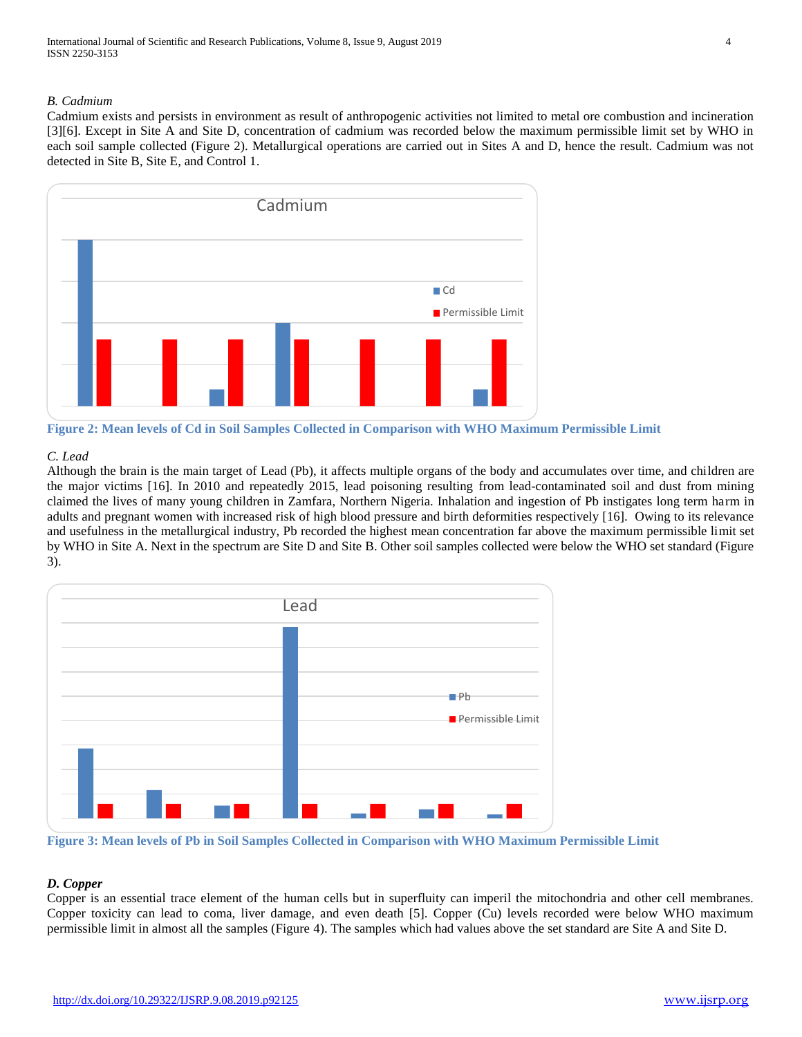# *B. Cadmium*

Cadmium exists and persists in environment as result of anthropogenic activities not limited to metal ore combustion and incineration [3][6]. Except in Site A and Site D, concentration of cadmium was recorded below the maximum permissible limit set by WHO in each soil sample collected (Figure 2). Metallurgical operations are carried out in Sites A and D, hence the result. Cadmium was not detected in Site B, Site E, and Control 1.



**Figure 2: Mean levels of Cd in Soil Samples Collected in Comparison with WHO Maximum Permissible Limit**

#### *C. Lead*

Although the brain is the main target of Lead (Pb), it affects multiple organs of the body and accumulates over time, and children are the major victims [16]. In 2010 and repeatedly 2015, lead poisoning resulting from lead-contaminated soil and dust from mining claimed the lives of many young children in Zamfara, Northern Nigeria. Inhalation and ingestion of Pb instigates long term harm in adults and pregnant women with increased risk of high blood pressure and birth deformities respectively [16]. Owing to its relevance and usefulness in the metallurgical industry, Pb recorded the highest mean concentration far above the maximum permissible limit set by WHO in Site A. Next in the spectrum are Site D and Site B. Other soil samples collected were below the WHO set standard (Figure 3).



**Figure 3: Mean levels of Pb in Soil Samples Collected in Comparison with WHO Maximum Permissible Limit**

# *D. Copper*

Copper is an essential trace element of the human cells but in superfluity can imperil the mitochondria and other cell membranes. Copper toxicity can lead to coma, liver damage, and even death [5]. Copper (Cu) levels recorded were below WHO maximum permissible limit in almost all the samples (Figure 4). The samples which had values above the set standard are Site A and Site D.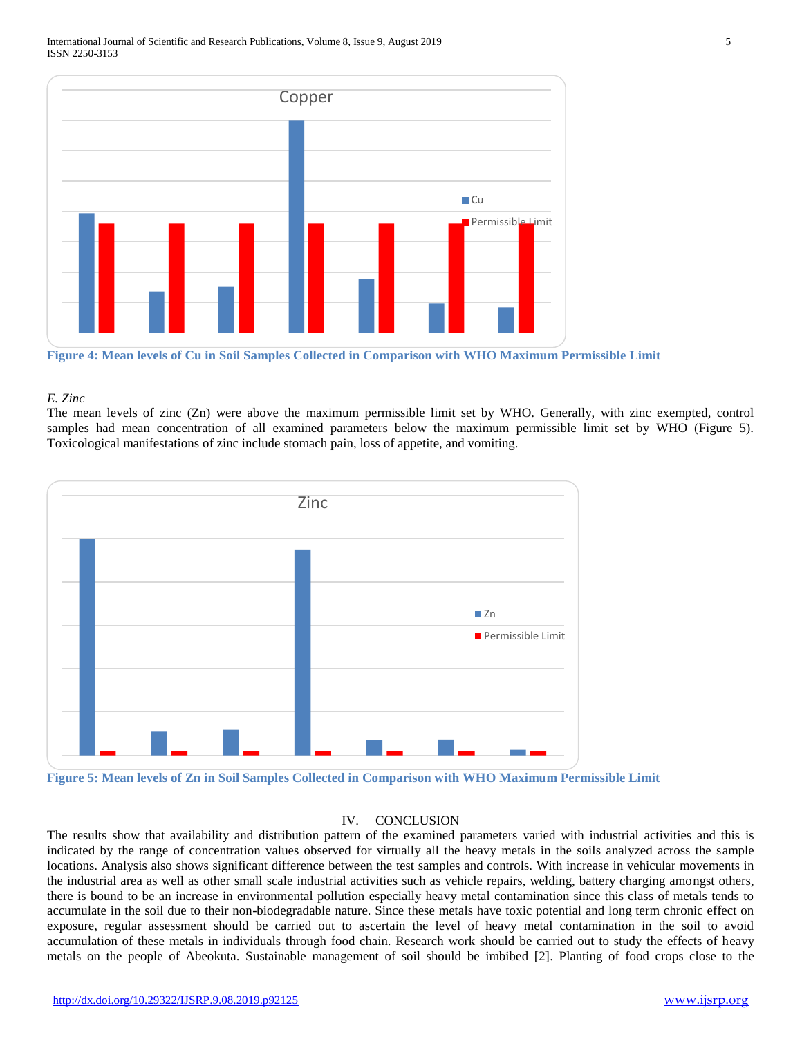

**Figure 4: Mean levels of Cu in Soil Samples Collected in Comparison with WHO Maximum Permissible Limit**

#### *E. Zinc*

The mean levels of zinc (Zn) were above the maximum permissible limit set by WHO. Generally, with zinc exempted, control samples had mean concentration of all examined parameters below the maximum permissible limit set by WHO (Figure 5). Toxicological manifestations of zinc include stomach pain, loss of appetite, and vomiting.



**Figure 5: Mean levels of Zn in Soil Samples Collected in Comparison with WHO Maximum Permissible Limit**

## IV. CONCLUSION

The results show that availability and distribution pattern of the examined parameters varied with industrial activities and this is indicated by the range of concentration values observed for virtually all the heavy metals in the soils analyzed across the sample locations. Analysis also shows significant difference between the test samples and controls. With increase in vehicular movements in the industrial area as well as other small scale industrial activities such as vehicle repairs, welding, battery charging amongst others, there is bound to be an increase in environmental pollution especially heavy metal contamination since this class of metals tends to accumulate in the soil due to their non-biodegradable nature. Since these metals have toxic potential and long term chronic effect on exposure, regular assessment should be carried out to ascertain the level of heavy metal contamination in the soil to avoid accumulation of these metals in individuals through food chain. Research work should be carried out to study the effects of heavy metals on the people of Abeokuta. Sustainable management of soil should be imbibed [2]. Planting of food crops close to the